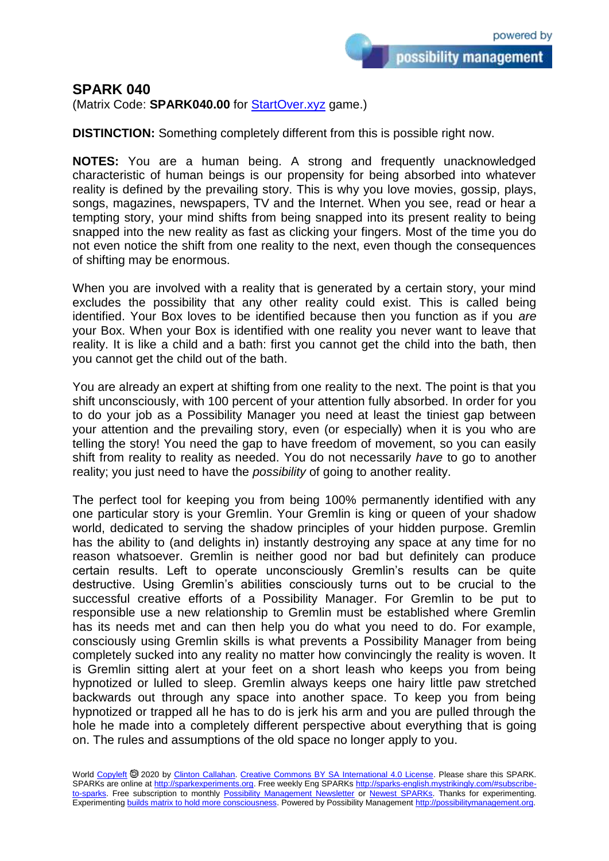possibility management

## **SPARK 040**

(Matrix Code: **SPARK040.00** for [StartOver.xyz](https://startoverxyz.mystrikingly.com/) game.)

**DISTINCTION:** Something completely different from this is possible right now.

**NOTES:** You are a human being. A strong and frequently unacknowledged characteristic of human beings is our propensity for being absorbed into whatever reality is defined by the prevailing story. This is why you love movies, gossip, plays, songs, magazines, newspapers, TV and the Internet. When you see, read or hear a tempting story, your mind shifts from being snapped into its present reality to being snapped into the new reality as fast as clicking your fingers. Most of the time you do not even notice the shift from one reality to the next, even though the consequences of shifting may be enormous.

When you are involved with a reality that is generated by a certain story, your mind excludes the possibility that any other reality could exist. This is called being identified. Your Box loves to be identified because then you function as if you *are* your Box. When your Box is identified with one reality you never want to leave that reality. It is like a child and a bath: first you cannot get the child into the bath, then you cannot get the child out of the bath.

You are already an expert at shifting from one reality to the next. The point is that you shift unconsciously, with 100 percent of your attention fully absorbed. In order for you to do your job as a Possibility Manager you need at least the tiniest gap between your attention and the prevailing story, even (or especially) when it is you who are telling the story! You need the gap to have freedom of movement, so you can easily shift from reality to reality as needed. You do not necessarily *have* to go to another reality; you just need to have the *possibility* of going to another reality.

The perfect tool for keeping you from being 100% permanently identified with any one particular story is your Gremlin. Your Gremlin is king or queen of your shadow world, dedicated to serving the shadow principles of your hidden purpose. Gremlin has the ability to (and delights in) instantly destroying any space at any time for no reason whatsoever. Gremlin is neither good nor bad but definitely can produce certain results. Left to operate unconsciously Gremlin's results can be quite destructive. Using Gremlin's abilities consciously turns out to be crucial to the successful creative efforts of a Possibility Manager. For Gremlin to be put to responsible use a new relationship to Gremlin must be established where Gremlin has its needs met and can then help you do what you need to do. For example, consciously using Gremlin skills is what prevents a Possibility Manager from being completely sucked into any reality no matter how convincingly the reality is woven. It is Gremlin sitting alert at your feet on a short leash who keeps you from being hypnotized or lulled to sleep. Gremlin always keeps one hairy little paw stretched backwards out through any space into another space. To keep you from being hypnotized or trapped all he has to do is jerk his arm and you are pulled through the hole he made into a completely different perspective about everything that is going on. The rules and assumptions of the old space no longer apply to you.

World [Copyleft](https://en.wikipedia.org/wiki/Copyleft) @ 2020 by [Clinton Callahan.](http://clintoncallahan.mystrikingly.com/) [Creative Commons BY SA International 4.0 License.](https://creativecommons.org/licenses/by-sa/4.0/) Please share this SPARK. SPARKs are online at [http://sparkexperiments.org.](http://sparks-english.mystrikingly.com/) Free weekly Eng SPARKs [http://sparks-english.mystrikingly.com/#subscribe](http://sparks-english.mystrikingly.com/#subscribe-to-sparks)[to-sparks.](http://sparks-english.mystrikingly.com/#subscribe-to-sparks) Free subscription to monthly [Possibility Management Newsletter](https://possibilitymanagement.org/news/) or [Newest SPARKs.](https://www.clintoncallahan.org/newsletter-1) Thanks for experimenting. Experimentin[g builds matrix to hold more consciousness.](http://spaceport.mystrikingly.com/) Powered by Possibility Managemen[t http://possibilitymanagement.org.](http://possibilitymanagement.org/)